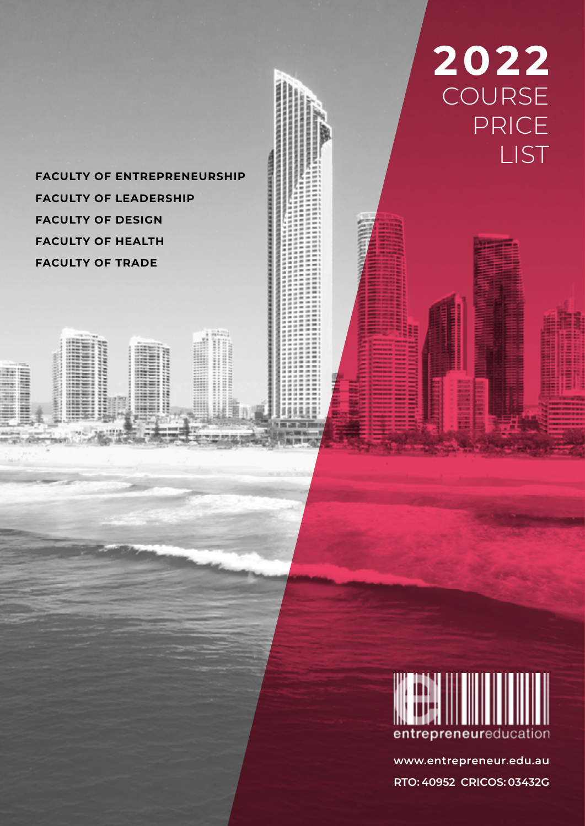**FACULTY OF ENTREPRENEURSHIP FACULTY OF LEADERSHIP FACULTY OF DESIGN FACULTY OF HEALTH FACULTY OF TRADE**

International and the content of the content

SAR

 $\begin{minipage}{0.03\textwidth} \begin{tabular}{|c|c|} \hline & \multicolumn{1}{|c|}{\textwidth} \end{tabular} \end{minipage} \begin{minipage}{0.03\textwidth} \begin{tabular}{|c|c|} \hline \multicolumn{1}{|c|}{\textwidth} \end{tabular} \end{minipage} \end{minipage} \begin{minipage}{0.03\textwidth} \begin{tabular}{|c|c|} \hline \multicolumn{1}{|c|}{\textwidth} \end{tabular} \end{minipage} \end{minipage} \begin{minipage}{0.03\textwidth} \begin{tabular}{|c|c|} \hline \$ 

≣ ........ しゅうきょう きゅう



**2022**

COURSE

PRICE

LIST

**www.entrepreneur.edu.au RTO: 40952 CRICOS: 03432G**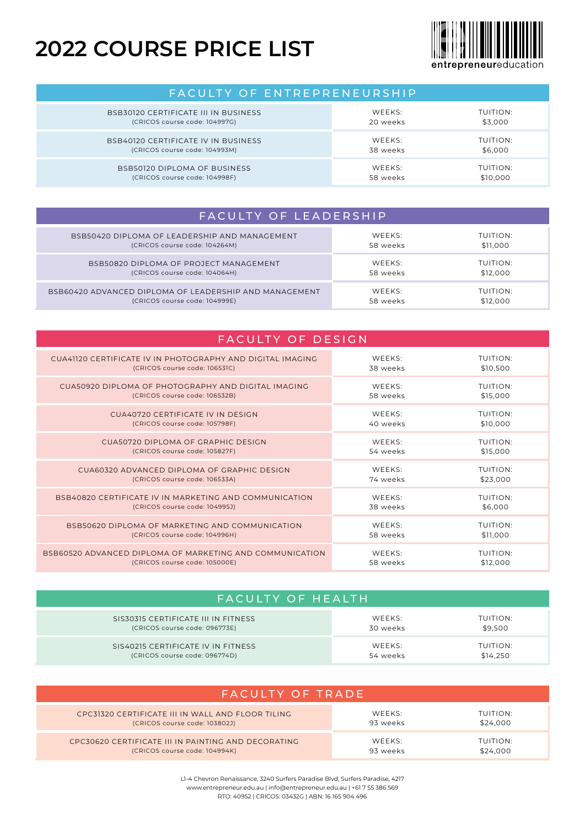## **2022 COURSE PRICE LIST**



FACULTY OF ENTREPRENEURSHIP BSB30120 CERTIFICATE III IN BUSINESS (CRICOS course code: 104997G) WEEKS: 20 weeks TUITION: \$3,000 BSB40120 CERTIFICATE IV IN BUSINESS (CRICOS course code: 104993M) WEEKS: 38 weeks TUITION: \$6,000 BSB50120 DIPLOMA OF BUSINESS (CRICOS course code: 104998F) WEEKS: 58 weeks TUITION: \$10,000

| FACULTY OF LEADERSHIP                                  |          |          |
|--------------------------------------------------------|----------|----------|
| BSB50420 DIPLOMA OF LEADERSHIP AND MANAGEMENT          | WEEKS:   | TUITION: |
| (CRICOS course code: 104264M)                          | 58 weeks | \$11,000 |
| BSB50820 DIPLOMA OF PROJECT MANAGEMENT                 | WEEKS:   | TUITION: |
| (CRICOS course code: 104064H)                          | 58 weeks | \$12,000 |
| BSB60420 ADVANCED DIPLOMA OF LEADERSHIP AND MANAGEMENT | WEEKS:   | TUITION: |
| (CRICOS course code: 104999E)                          | 58 weeks | \$12,000 |

| <b>FACULTY OF DESIGN</b>                                   |          |          |
|------------------------------------------------------------|----------|----------|
| CUA41120 CERTIFICATE IV IN PHOTOGRAPHY AND DIGITAL IMAGING | WEEKS:   | TUITION: |
| (CRICOS course code: 106531C)                              | 38 weeks | \$10,500 |
| CUA50920 DIPLOMA OF PHOTOGRAPHY AND DIGITAL IMAGING        | WEEKS:   | TUITION: |
| (CRICOS course code: 106532B)                              | 58 weeks | \$15,000 |
| CUA40720 CERTIFICATE IV IN DESIGN                          | WEEKS:   | TUITION: |
| (CRICOS course code: 105798F)                              | 40 weeks | \$10,000 |
| CUA50720 DIPLOMA OF GRAPHIC DESIGN                         | WEEKS:   | TUITION: |
| (CRICOS course code: 105827F)                              | 54 weeks | \$15,000 |
| CUA60320 ADVANCED DIPLOMA OF GRAPHIC DESIGN                | WEEKS:   | TUITION: |
| (CRICOS course code: 106533A)                              | 74 weeks | \$23,000 |
| BSB40820 CERTIFICATE IV IN MARKETING AND COMMUNICATION     | WEEKS:   | TUITION: |
| (CRICOS course code: 104995J)                              | 38 weeks | \$6,000  |
| BSB50620 DIPLOMA OF MARKETING AND COMMUNICATION            | WEEKS:   | TUITION: |
| (CRICOS course code: 104996H)                              | 58 weeks | \$11,000 |
| BSB60520 ADVANCED DIPLOMA OF MARKETING AND COMMUNICATION   | WEEKS:   | TUITION: |
| (CRICOS course code: 105000E)                              | 58 weeks | \$12,000 |

| FACULTY OF HEALTH                   |          |          |
|-------------------------------------|----------|----------|
| SIS30315 CERTIFICATE III IN FITNESS | WEEKS:   | TUITION: |
| (CRICOS course code: 096773E)       | 30 weeks | \$9.500  |
| SIS40215 CERTIFICATE IV IN FITNESS  | WEEKS:   | TUITION: |
| (CRICOS course code: 096774D)       | 54 weeks | \$14,250 |

| FACULTY OF TRADE                                    |                    |          |
|-----------------------------------------------------|--------------------|----------|
| CPC31320 CERTIFICATE III IN WALL AND FLOOR TILING   | WEEKS:             | TUITION: |
| (CRICOS course code: 103802J)                       | 93 weeks           | \$24,000 |
| CPC30620 CERTIFICATE III IN PAINTING AND DECORATING | WFFKS <sup>.</sup> | TUITION: |
| (CRICOS course code: 104994K)                       | 93 weeks           | \$24,000 |

L1-4 Chevron Renaissance, 3240 Surfers Paradise Blvd, Surfers Paradise, 4217 www.entrepreneur.edu.au | info@entrepreneur.edu.au | +61 7 55 386 569 RTO: 40952 | CRICOS: 03432G | ABN: 16 165 904 496